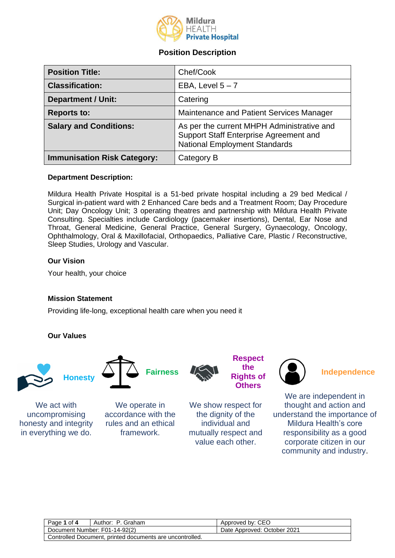

# **Position Description**

| <b>Position Title:</b>             | Chef/Cook                                                                                                                    |
|------------------------------------|------------------------------------------------------------------------------------------------------------------------------|
| <b>Classification:</b>             | EBA, Level $5 - 7$                                                                                                           |
| <b>Department / Unit:</b>          | Catering                                                                                                                     |
| <b>Reports to:</b>                 | Maintenance and Patient Services Manager                                                                                     |
| <b>Salary and Conditions:</b>      | As per the current MHPH Administrative and<br>Support Staff Enterprise Agreement and<br><b>National Employment Standards</b> |
| <b>Immunisation Risk Category:</b> | Category B                                                                                                                   |

# **Department Description:**

Mildura Health Private Hospital is a 51-bed private hospital including a 29 bed Medical / Surgical in-patient ward with 2 Enhanced Care beds and a Treatment Room; Day Procedure Unit; Day Oncology Unit; 3 operating theatres and partnership with Mildura Health Private Consulting. Specialties include Cardiology (pacemaker insertions), Dental, Ear Nose and Throat, General Medicine, General Practice, General Surgery, Gynaecology, Oncology, Ophthalmology, Oral & Maxillofacial, Orthopaedics, Palliative Care, Plastic / Reconstructive, Sleep Studies, Urology and Vascular.

# **Our Vision**

Your health, your choice

# **Mission Statement**

Providing life-long, exceptional health care when you need it

# **Our Values**



We act with uncompromising honesty and integrity in everything we do.



We operate in accordance with the rules and an ethical framework.

**the Rights of Others**

**Respect** 

We show respect for the dignity of the individual and mutually respect and value each other.



We are independent in thought and action and understand the importance of Mildura Health's core responsibility as a good corporate citizen in our community and industry.

| Page 1 of 4                                              | Author: P. Graham             | Approved by: CEO            |
|----------------------------------------------------------|-------------------------------|-----------------------------|
|                                                          | Document Number: F01-14-92(2) | Date Approved: October 2021 |
| Controlled Document, printed documents are uncontrolled. |                               |                             |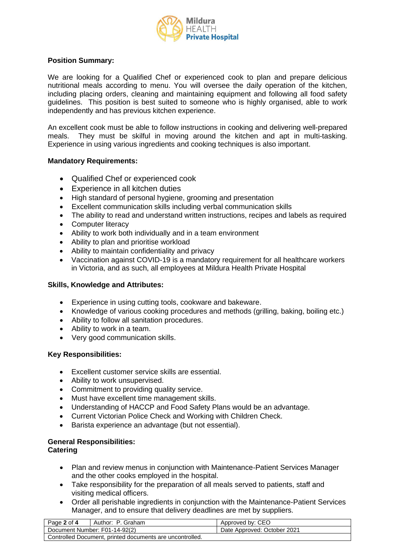

# **Position Summary:**

We are looking for a Qualified Chef or experienced cook to plan and prepare delicious nutritional meals according to menu. You will oversee the daily operation of the kitchen, including placing orders, cleaning and maintaining equipment and following all food safety guidelines. This position is best suited to someone who is highly organised, able to work independently and has previous kitchen experience.

An excellent cook must be able to follow instructions in cooking and delivering well-prepared meals. They must be skilful in moving around the kitchen and apt in multi-tasking. Experience in using various ingredients and cooking techniques is also important.

# **Mandatory Requirements:**

- Qualified Chef or experienced cook
- Experience in all kitchen duties
- High standard of personal hygiene, grooming and presentation
- Excellent communication skills including verbal communication skills
- The ability to read and understand written instructions, recipes and labels as required
- Computer literacy
- Ability to work both individually and in a team environment
- Ability to plan and prioritise workload
- Ability to maintain confidentiality and privacy
- Vaccination against COVID-19 is a mandatory requirement for all healthcare workers in Victoria, and as such, all employees at Mildura Health Private Hospital

# **Skills, Knowledge and Attributes:**

- Experience in using cutting tools, cookware and bakeware.
- Knowledge of various cooking procedures and methods (grilling, baking, boiling etc.)
- Ability to follow all sanitation procedures.
- Ability to work in a team.
- Very good communication skills.

#### **Key Responsibilities:**

- Excellent customer service skills are essential.
- Ability to work unsupervised.
- Commitment to providing quality service.
- Must have excellent time management skills.
- Understanding of HACCP and Food Safety Plans would be an advantage.
- Current Victorian Police Check and Working with Children Check.
- Barista experience an advantage (but not essential).

# **General Responsibilities:**

#### **Catering**

- Plan and review menus in conjunction with Maintenance-Patient Services Manager and the other cooks employed in the hospital.
- Take responsibility for the preparation of all meals served to patients, staff and visiting medical officers.
- Order all perishable ingredients in conjunction with the Maintenance-Patient Services Manager, and to ensure that delivery deadlines are met by suppliers.

| Page 2 of 4                                              | Author: P. Graham             | Approved by: CEO            |
|----------------------------------------------------------|-------------------------------|-----------------------------|
|                                                          | Document Number: F01-14-92(2) | Date Approved: October 2021 |
| Controlled Document, printed documents are uncontrolled. |                               |                             |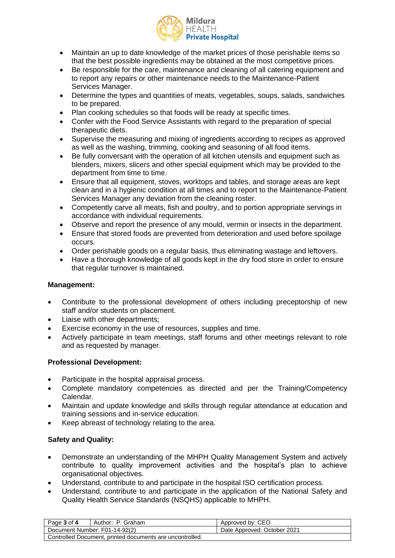

- Maintain an up to date knowledge of the market prices of those perishable items so that the best possible ingredients may be obtained at the most competitive prices.
- Be responsible for the care, maintenance and cleaning of all catering equipment and to report any repairs or other maintenance needs to the Maintenance-Patient Services Manager.
- Determine the types and quantities of meats, vegetables, soups, salads, sandwiches to be prepared.
- Plan cooking schedules so that foods will be ready at specific times.
- Confer with the Food Service Assistants with regard to the preparation of special therapeutic diets.
- Supervise the measuring and mixing of ingredients according to recipes as approved as well as the washing, trimming, cooking and seasoning of all food items.
- Be fully conversant with the operation of all kitchen utensils and equipment such as blenders, mixers, slicers and other special equipment which may be provided to the department from time to time.
- Ensure that all equipment, stoves, worktops and tables, and storage areas are kept clean and in a hygienic condition at all times and to report to the Maintenance-Patient Services Manager any deviation from the cleaning roster.
- Competently carve all meats, fish and poultry, and to portion appropriate servings in accordance with individual requirements.
- Observe and report the presence of any mould, vermin or insects in the department.
- Ensure that stored foods are prevented from deterioration and used before spoilage occurs.
- Order perishable goods on a regular basis, thus eliminating wastage and leftovers.
- Have a thorough knowledge of all goods kept in the dry food store in order to ensure that regular turnover is maintained.

# **Management:**

- Contribute to the professional development of others including preceptorship of new staff and/or students on placement.
- Liaise with other departments;
- Exercise economy in the use of resources, supplies and time.
- Actively participate in team meetings, staff forums and other meetings relevant to role and as requested by manager.

# **Professional Development:**

- Participate in the hospital appraisal process.
- Complete mandatory competencies as directed and per the Training/Competency Calendar.
- Maintain and update knowledge and skills through regular attendance at education and training sessions and in-service education.
- Keep abreast of technology relating to the area.

# **Safety and Quality:**

- Demonstrate an understanding of the MHPH Quality Management System and actively contribute to quality improvement activities and the hospital's plan to achieve organisational objectives.
- Understand, contribute to and participate in the hospital ISO certification process.
- Understand, contribute to and participate in the application of the National Safety and Quality Health Service Standards (NSQHS) applicable to MHPH.

| Page<br>o<br>Author:<br>Graham<br>ot 4                    | CEC<br>Approved<br>bv:            |
|-----------------------------------------------------------|-----------------------------------|
| Document Number: F01-14-92(2)                             | October 2021<br>Date<br>Approved: |
| nrinted documents are uncontrolled<br>Controlled Document |                                   |

Controlled Document, printed documents are uncontrolled.